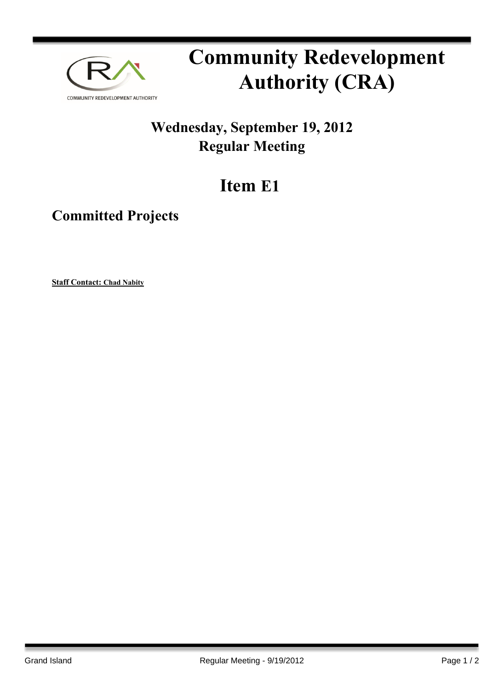

## **Community Redevelopment Authority (CRA)**

## **Wednesday, September 19, 2012 Regular Meeting**

## **Item E1**

**Committed Projects**

**Staff Contact: Chad Nabity**